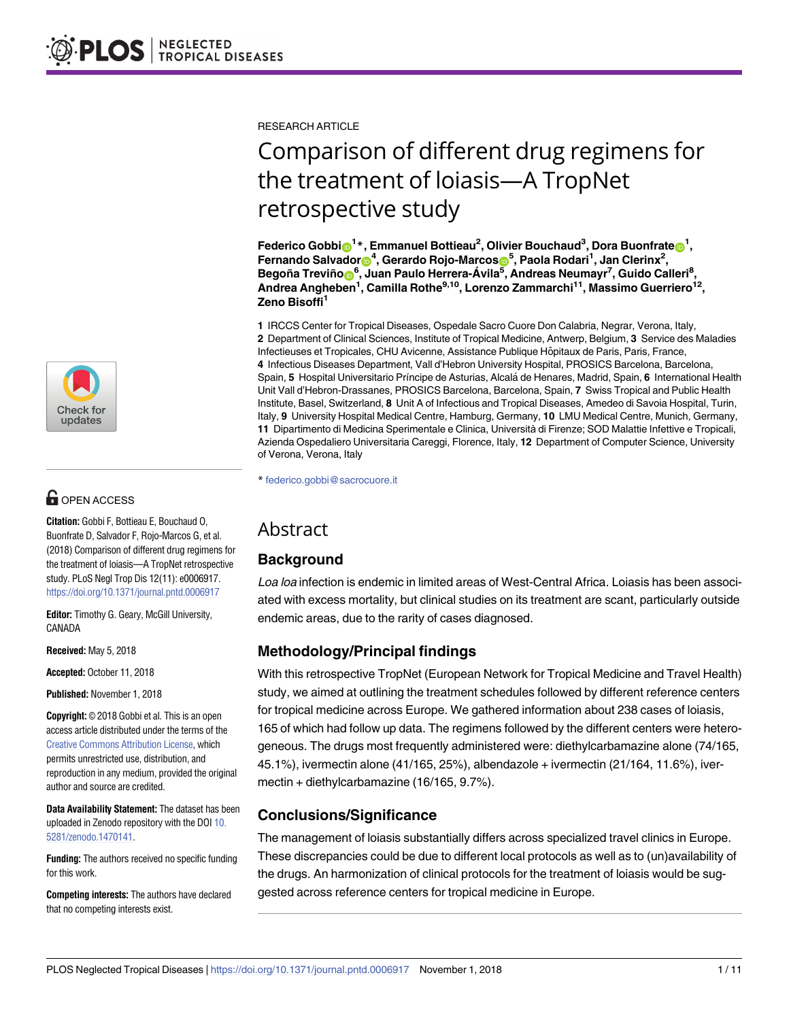

## **OPEN ACCESS**

**Citation:** Gobbi F, Bottieau E, Bouchaud O, Buonfrate D, Salvador F, Rojo-Marcos G, et al. (2018) Comparison of different drug regimens for the treatment of loiasis—A TropNet retrospective study. PLoS Negl Trop Dis 12(11): e0006917. <https://doi.org/10.1371/journal.pntd.0006917>

**Editor:** Timothy G. Geary, McGill University, CANADA

**Received:** May 5, 2018

**Accepted:** October 11, 2018

**Published:** November 1, 2018

**Copyright:** © 2018 Gobbi et al. This is an open access article distributed under the terms of the Creative Commons [Attribution](http://creativecommons.org/licenses/by/4.0/) License, which permits unrestricted use, distribution, and reproduction in any medium, provided the original author and source are credited.

**Data Availability Statement:** The dataset has been uploaded in Zenodo repository with the DOI [10.](https://doi.org/10.5281/zenodo.1470141) [5281/zenodo.1470141.](https://doi.org/10.5281/zenodo.1470141)

**Funding:** The authors received no specific funding for this work.

**Competing interests:** The authors have declared that no competing interests exist.

RESEARCH ARTICLE

# Comparison of different drug regimens for the treatment of loiasis—A TropNet retrospective study

 $\mathbf{F}$ ederico Gobbi $\mathbf{D}^{1*}$ , Emmanuel Bottieau<sup>2</sup>, Olivier Bouchaud<sup>3</sup>, Dora Buonfrate $\mathbf{D}^{1}$ ,  $\mathbf{F}$ ernando Salvador $\mathbf{D}^4$ , Gerardo Rojo-Marcos $\mathbf{D}^5$ , Paola Rodari<sup>1</sup>, Jan Clerinx<sup>2</sup>, **Begoña Treviño[ID6](http://orcid.org/0000-0003-4633-8288) , Juan Paulo Herrera-A´ vila5 , Andreas Neumayr7 , Guido Calleri<sup>8</sup> , Andrea Angheben1 , Camilla Rothe9,10, Lorenzo Zammarchi11, Massimo Guerriero12, Zeno Bisoffi1**

**1** IRCCS Center for Tropical Diseases, Ospedale Sacro Cuore Don Calabria, Negrar, Verona, Italy, **2** Department of Clinical Sciences, Institute of Tropical Medicine, Antwerp, Belgium, **3** Service des Maladies Infectieuses et Tropicales, CHU Avicenne, Assistance Publique Hôpitaux de Paris, Paris, France, **4** Infectious Diseases Department, Vall d'Hebron University Hospital, PROSICS Barcelona, Barcelona, Spain, 5 Hospital Universitario Príncipe de Asturias, Alcalá de Henares, Madrid, Spain, 6 International Health Unit Vall d'Hebron-Drassanes, PROSICS Barcelona, Barcelona, Spain, **7** Swiss Tropical and Public Health Institute, Basel, Switzerland, **8** Unit A of Infectious and Tropical Diseases, Amedeo di Savoia Hospital, Turin, Italy, **9** University Hospital Medical Centre, Hamburg, Germany, **10** LMU Medical Centre, Munich, Germany, **11** Dipartimento di Medicina Sperimentale e Clinica, Università di Firenze; SOD Malattie Infettive e Tropicali, Azienda Ospedaliero Universitaria Careggi, Florence, Italy, **12** Department of Computer Science, University of Verona, Verona, Italy

\* federico.gobbi@sacrocuore.it

## Abstract

## **Background**

Loa loa infection is endemic in limited areas of West-Central Africa. Loiasis has been associated with excess mortality, but clinical studies on its treatment are scant, particularly outside endemic areas, due to the rarity of cases diagnosed.

## **Methodology/Principal findings**

With this retrospective TropNet (European Network for Tropical Medicine and Travel Health) study, we aimed at outlining the treatment schedules followed by different reference centers for tropical medicine across Europe. We gathered information about 238 cases of loiasis, 165 of which had follow up data. The regimens followed by the different centers were heterogeneous. The drugs most frequently administered were: diethylcarbamazine alone (74/165, 45.1%), ivermectin alone (41/165, 25%), albendazole + ivermectin (21/164, 11.6%), ivermectin + diethylcarbamazine (16/165, 9.7%).

## **Conclusions/Significance**

The management of loiasis substantially differs across specialized travel clinics in Europe. These discrepancies could be due to different local protocols as well as to (un)availability of the drugs. An harmonization of clinical protocols for the treatment of loiasis would be suggested across reference centers for tropical medicine in Europe.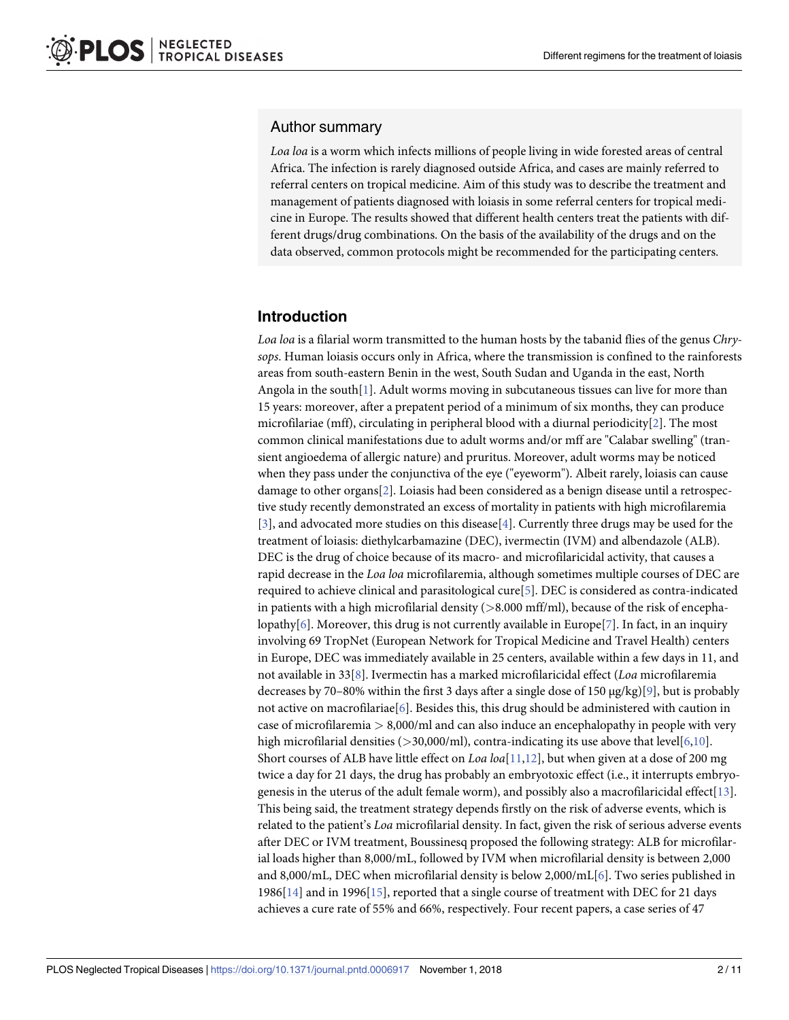### <span id="page-1-0"></span>Author summary

*Loa loa* is a worm which infects millions of people living in wide forested areas of central Africa. The infection is rarely diagnosed outside Africa, and cases are mainly referred to referral centers on tropical medicine. Aim of this study was to describe the treatment and management of patients diagnosed with loiasis in some referral centers for tropical medicine in Europe. The results showed that different health centers treat the patients with different drugs/drug combinations. On the basis of the availability of the drugs and on the data observed, common protocols might be recommended for the participating centers.

## **Introduction**

*Loa loa* is a filarial worm transmitted to the human hosts by the tabanid flies of the genus *Chrysops*. Human loiasis occurs only in Africa, where the transmission is confined to the rainforests areas from south-eastern Benin in the west, South Sudan and Uganda in the east, North Angola in the south $[1]$  $[1]$  $[1]$ . Adult worms moving in subcutaneous tissues can live for more than 15 years: moreover, after a prepatent period of a minimum of six months, they can produce microfilariae (mff), circulating in peripheral blood with a diurnal periodicity[[2\]](#page-9-0). The most common clinical manifestations due to adult worms and/or mff are "Calabar swelling" (transient angioedema of allergic nature) and pruritus. Moreover, adult worms may be noticed when they pass under the conjunctiva of the eye ("eyeworm"). Albeit rarely, loiasis can cause damage to other organs[\[2\]](#page-9-0). Loiasis had been considered as a benign disease until a retrospective study recently demonstrated an excess of mortality in patients with high microfilaremia [\[3](#page-9-0)], and advocated more studies on this disease[[4\]](#page-9-0). Currently three drugs may be used for the treatment of loiasis: diethylcarbamazine (DEC), ivermectin (IVM) and albendazole (ALB). DEC is the drug of choice because of its macro- and microfilaricidal activity, that causes a rapid decrease in the *Loa loa* microfilaremia, although sometimes multiple courses of DEC are required to achieve clinical and parasitological cure[\[5\]](#page-9-0). DEC is considered as contra-indicated in patients with a high microfilarial density (*>*8.000 mff/ml), because of the risk of encepha-lopathy[\[6\]](#page-9-0). Moreover, this drug is not currently available in Europe[\[7](#page-9-0)]. In fact, in an inquiry involving 69 TropNet (European Network for Tropical Medicine and Travel Health) centers in Europe, DEC was immediately available in 25 centers, available within a few days in 11, and not available in 33[[8](#page-9-0)]. Ivermectin has a marked microfilaricidal effect (*Loa* microfilaremia decreases by 70–80% within the first 3 days after a single dose of 150 μg/kg)[[9\]](#page-9-0), but is probably not active on macrofilariae[[6\]](#page-9-0). Besides this, this drug should be administered with caution in case of microfilaremia *>* 8,000/ml and can also induce an encephalopathy in people with very high microfilarial densities (>30,000/ml), contra-indicating its use above that level[\[6,10\]](#page-9-0). Short courses of ALB have little effect on *Loa loa*[[11,12\]](#page-9-0), but when given at a dose of 200 mg twice a day for 21 days, the drug has probably an embryotoxic effect (i.e., it interrupts embryogenesis in the uterus of the adult female worm), and possibly also a macrofilaricidal effect[[13](#page-9-0)]. This being said, the treatment strategy depends firstly on the risk of adverse events, which is related to the patient's *Loa* microfilarial density. In fact, given the risk of serious adverse events after DEC or IVM treatment, Boussinesq proposed the following strategy: ALB for microfilarial loads higher than 8,000/mL, followed by IVM when microfilarial density is between 2,000 and 8,000/mL, DEC when microfilarial density is below 2,000/mL[\[6](#page-9-0)]. Two series published in 1986[\[14\]](#page-9-0) and in 1996[[15](#page-9-0)], reported that a single course of treatment with DEC for 21 days achieves a cure rate of 55% and 66%, respectively. Four recent papers, a case series of 47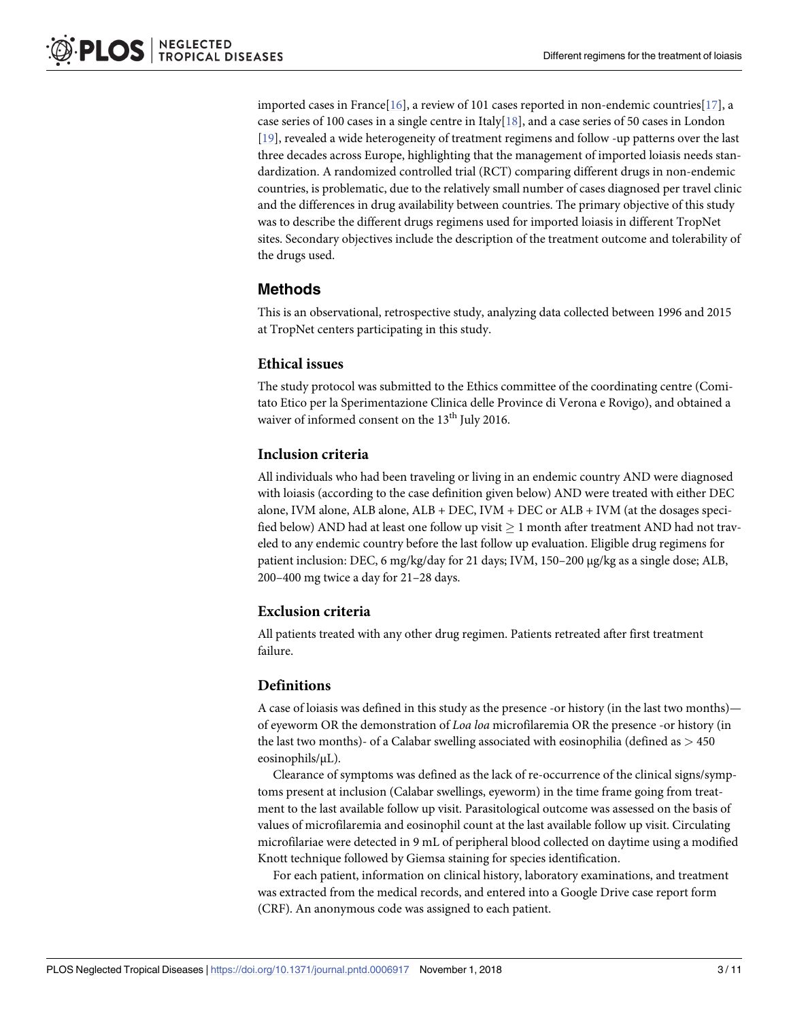<span id="page-2-0"></span>imported cases in France $[16]$  $[16]$  $[16]$ , a review of 101 cases reported in non-endemic countries $[17]$  $[17]$  $[17]$ , a case series of 100 cases in a single centre in Italy $[18]$  $[18]$ , and a case series of 50 cases in London [\[19\]](#page-10-0), revealed a wide heterogeneity of treatment regimens and follow -up patterns over the last three decades across Europe, highlighting that the management of imported loiasis needs standardization. A randomized controlled trial (RCT) comparing different drugs in non-endemic countries, is problematic, due to the relatively small number of cases diagnosed per travel clinic and the differences in drug availability between countries. The primary objective of this study was to describe the different drugs regimens used for imported loiasis in different TropNet sites. Secondary objectives include the description of the treatment outcome and tolerability of the drugs used.

## **Methods**

This is an observational, retrospective study, analyzing data collected between 1996 and 2015 at TropNet centers participating in this study.

#### **Ethical issues**

The study protocol was submitted to the Ethics committee of the coordinating centre (Comitato Etico per la Sperimentazione Clinica delle Province di Verona e Rovigo), and obtained a waiver of informed consent on the 13<sup>th</sup> July 2016.

#### **Inclusion criteria**

All individuals who had been traveling or living in an endemic country AND were diagnosed with loiasis (according to the case definition given below) AND were treated with either DEC alone, IVM alone, ALB alone, ALB + DEC, IVM + DEC or ALB + IVM (at the dosages specified below) AND had at least one follow up visit  $> 1$  month after treatment AND had not traveled to any endemic country before the last follow up evaluation. Eligible drug regimens for patient inclusion: DEC, 6 mg/kg/day for 21 days; IVM, 150–200 μg/kg as a single dose; ALB, 200–400 mg twice a day for 21–28 days.

#### **Exclusion criteria**

All patients treated with any other drug regimen. Patients retreated after first treatment failure.

#### **Definitions**

A case of loiasis was defined in this study as the presence -or history (in the last two months) of eyeworm OR the demonstration of *Loa loa* microfilaremia OR the presence -or history (in the last two months)- of a Calabar swelling associated with eosinophilia (defined as *>* 450 eosinophils/μL).

Clearance of symptoms was defined as the lack of re-occurrence of the clinical signs/symptoms present at inclusion (Calabar swellings, eyeworm) in the time frame going from treatment to the last available follow up visit. Parasitological outcome was assessed on the basis of values of microfilaremia and eosinophil count at the last available follow up visit. Circulating microfilariae were detected in 9 mL of peripheral blood collected on daytime using a modified Knott technique followed by Giemsa staining for species identification.

For each patient, information on clinical history, laboratory examinations, and treatment was extracted from the medical records, and entered into a Google Drive case report form (CRF). An anonymous code was assigned to each patient.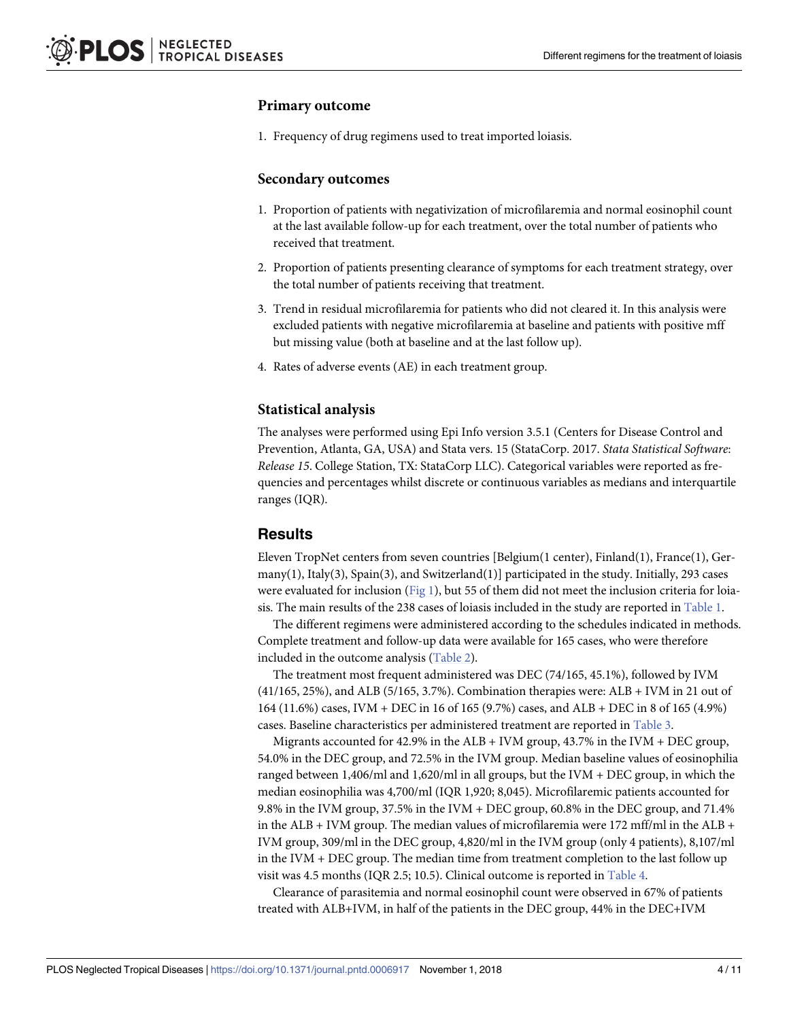#### <span id="page-3-0"></span>**Primary outcome**

1. Frequency of drug regimens used to treat imported loiasis.

#### **Secondary outcomes**

- 1. Proportion of patients with negativization of microfilaremia and normal eosinophil count at the last available follow-up for each treatment, over the total number of patients who received that treatment.
- 2. Proportion of patients presenting clearance of symptoms for each treatment strategy, over the total number of patients receiving that treatment.
- 3. Trend in residual microfilaremia for patients who did not cleared it. In this analysis were excluded patients with negative microfilaremia at baseline and patients with positive mff but missing value (both at baseline and at the last follow up).
- 4. Rates of adverse events (AE) in each treatment group.

#### **Statistical analysis**

The analyses were performed using Epi Info version 3.5.1 (Centers for Disease Control and Prevention, Atlanta, GA, USA) and Stata vers. 15 (StataCorp. 2017. *Stata Statistical Software*: *Release 15*. College Station, TX: StataCorp LLC). Categorical variables were reported as frequencies and percentages whilst discrete or continuous variables as medians and interquartile ranges (IQR).

#### **Results**

Eleven TropNet centers from seven countries [Belgium(1 center), Finland(1), France(1), Germany(1), Italy(3), Spain(3), and Switzerland(1)] participated in the study. Initially, 293 cases were evaluated for inclusion ([Fig](#page-4-0) 1), but 55 of them did not meet the inclusion criteria for loiasis. The main results of the 238 cases of loiasis included in the study are reported in [Table](#page-5-0) 1.

The different regimens were administered according to the schedules indicated in methods. Complete treatment and follow-up data were available for 165 cases, who were therefore included in the outcome analysis [\(Table](#page-6-0) 2).

The treatment most frequent administered was DEC (74/165, 45.1%), followed by IVM (41/165, 25%), and ALB (5/165, 3.7%). Combination therapies were: ALB + IVM in 21 out of 164 (11.6%) cases, IVM + DEC in 16 of 165 (9.7%) cases, and ALB + DEC in 8 of 165 (4.9%) cases. Baseline characteristics per administered treatment are reported in [Table](#page-6-0) 3.

Migrants accounted for  $42.9\%$  in the ALB + IVM group,  $43.7\%$  in the IVM + DEC group, 54.0% in the DEC group, and 72.5% in the IVM group. Median baseline values of eosinophilia ranged between 1,406/ml and 1,620/ml in all groups, but the IVM + DEC group, in which the median eosinophilia was 4,700/ml (IQR 1,920; 8,045). Microfilaremic patients accounted for 9.8% in the IVM group, 37.5% in the IVM + DEC group, 60.8% in the DEC group, and 71.4% in the ALB + IVM group. The median values of microfilaremia were 172 mff/ml in the ALB + IVM group, 309/ml in the DEC group, 4,820/ml in the IVM group (only 4 patients), 8,107/ml in the IVM + DEC group. The median time from treatment completion to the last follow up visit was 4.5 months (IQR 2.5; 10.5). Clinical outcome is reported in [Table](#page-7-0) 4.

Clearance of parasitemia and normal eosinophil count were observed in 67% of patients treated with ALB+IVM, in half of the patients in the DEC group, 44% in the DEC+IVM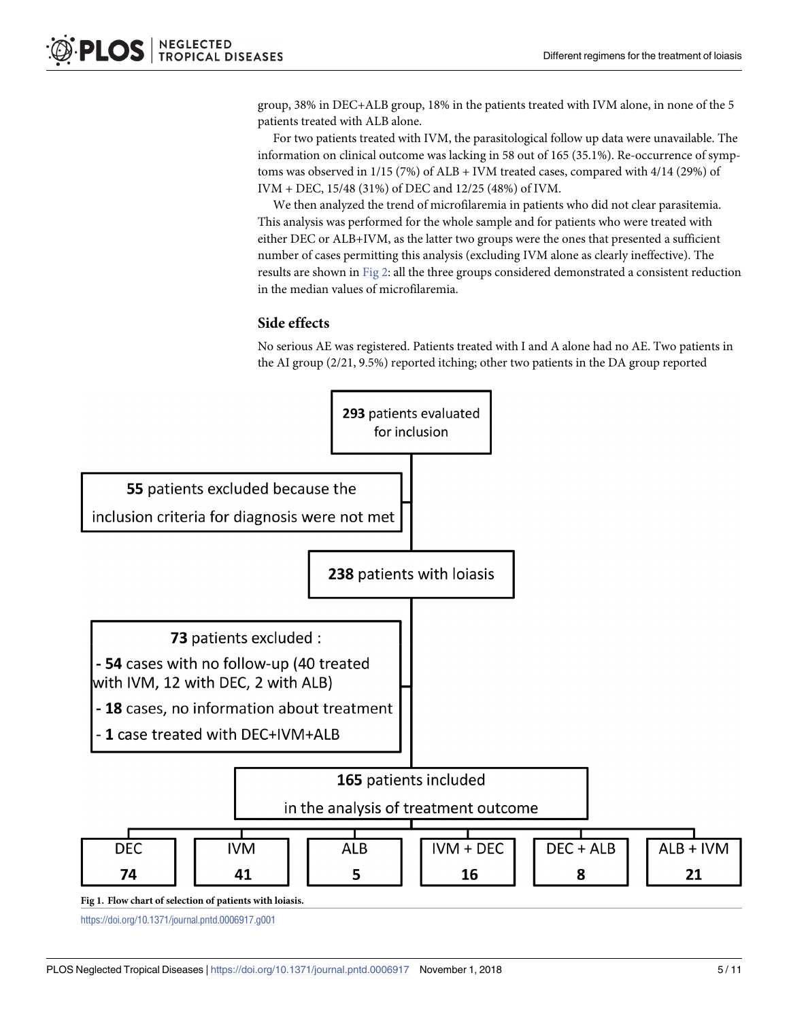<span id="page-4-0"></span>group, 38% in DEC+ALB group, 18% in the patients treated with IVM alone, in none of the 5 patients treated with ALB alone.

For two patients treated with IVM, the parasitological follow up data were unavailable. The information on clinical outcome was lacking in 58 out of 165 (35.1%). Re-occurrence of symptoms was observed in 1/15 (7%) of ALB + IVM treated cases, compared with 4/14 (29%) of IVM + DEC, 15/48 (31%) of DEC and 12/25 (48%) of IVM.

We then analyzed the trend of microfilaremia in patients who did not clear parasitemia. This analysis was performed for the whole sample and for patients who were treated with either DEC or ALB+IVM, as the latter two groups were the ones that presented a sufficient number of cases permitting this analysis (excluding IVM alone as clearly ineffective). The results are shown in [Fig](#page-7-0) 2: all the three groups considered demonstrated a consistent reduction in the median values of microfilaremia.

#### **Side effects**

No serious AE was registered. Patients treated with I and A alone had no AE. Two patients in the AI group (2/21, 9.5%) reported itching; other two patients in the DA group reported



<https://doi.org/10.1371/journal.pntd.0006917.g001>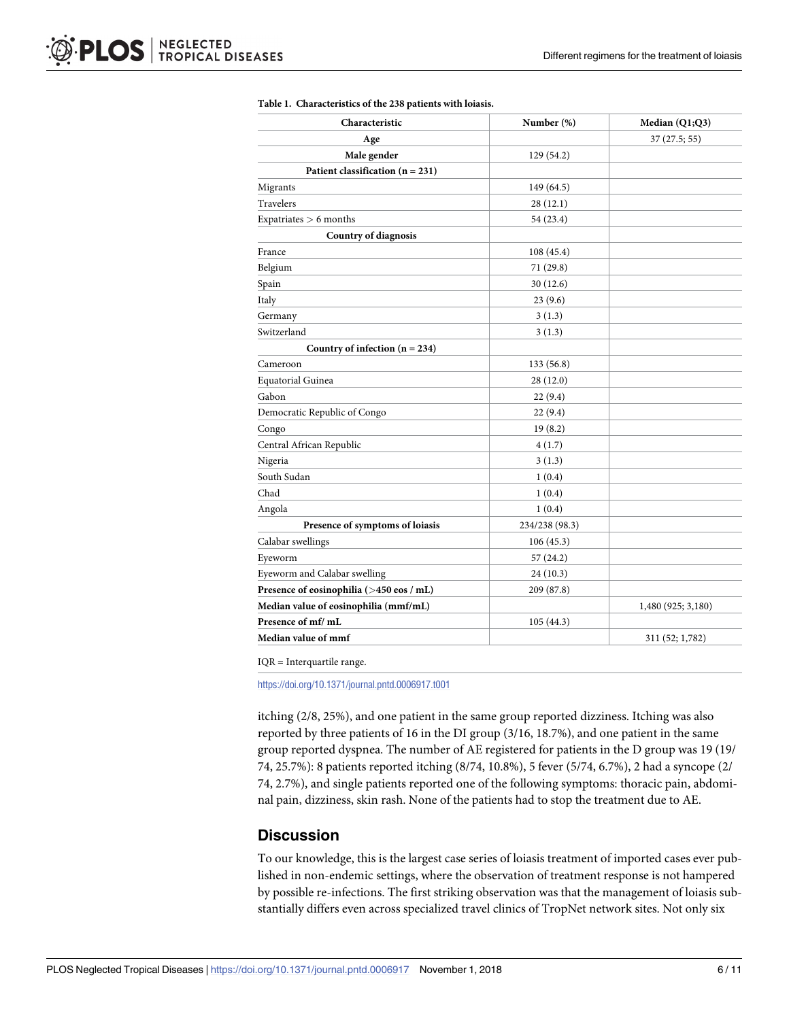<span id="page-5-0"></span>

| Characteristic                           | Number (%)     | Median (Q1;Q3)     |
|------------------------------------------|----------------|--------------------|
| Age                                      |                | 37 (27.5; 55)      |
| Male gender                              | 129 (54.2)     |                    |
| Patient classification $(n = 231)$       |                |                    |
| Migrants                                 | 149 (64.5)     |                    |
| <b>Travelers</b>                         | 28(12.1)       |                    |
| Expatriates $> 6$ months                 | 54 (23.4)      |                    |
| <b>Country of diagnosis</b>              |                |                    |
| France                                   | 108(45.4)      |                    |
| Belgium                                  | 71(29.8)       |                    |
| Spain                                    | 30(12.6)       |                    |
| Italy                                    | 23(9.6)        |                    |
| Germany                                  | 3(1.3)         |                    |
| Switzerland                              | 3(1.3)         |                    |
| Country of infection $(n = 234)$         |                |                    |
| Cameroon                                 | 133 (56.8)     |                    |
| <b>Equatorial Guinea</b>                 | 28(12.0)       |                    |
| Gabon                                    | 22(9.4)        |                    |
| Democratic Republic of Congo             | 22(9.4)        |                    |
| Congo                                    | 19(8.2)        |                    |
| Central African Republic                 | 4(1.7)         |                    |
| Nigeria                                  | 3(1.3)         |                    |
| South Sudan                              | 1(0.4)         |                    |
| Chad                                     | 1(0.4)         |                    |
| Angola                                   | 1(0.4)         |                    |
| Presence of symptoms of loiasis          | 234/238 (98.3) |                    |
| Calabar swellings                        | 106(45.3)      |                    |
| Eyeworm                                  | 57(24.2)       |                    |
| Eyeworm and Calabar swelling             | 24(10.3)       |                    |
| Presence of eosinophilia (>450 eos / mL) | 209 (87.8)     |                    |
| Median value of eosinophilia (mmf/mL)    |                | 1,480 (925; 3,180) |
| Presence of mf/mL                        | 105(44.3)      |                    |
| Median value of mmf                      |                | 311 (52; 1,782)    |

#### **[Table](#page-3-0) 1. Characteristics of the 238 patients with loiasis.**

IQR = Interquartile range.

<https://doi.org/10.1371/journal.pntd.0006917.t001>

itching (2/8, 25%), and one patient in the same group reported dizziness. Itching was also reported by three patients of 16 in the DI group (3/16, 18.7%), and one patient in the same group reported dyspnea. The number of AE registered for patients in the D group was 19 (19/ 74, 25.7%): 8 patients reported itching (8/74, 10.8%), 5 fever (5/74, 6.7%), 2 had a syncope (2/ 74, 2.7%), and single patients reported one of the following symptoms: thoracic pain, abdominal pain, dizziness, skin rash. None of the patients had to stop the treatment due to AE.

#### **Discussion**

To our knowledge, this is the largest case series of loiasis treatment of imported cases ever published in non-endemic settings, where the observation of treatment response is not hampered by possible re-infections. The first striking observation was that the management of loiasis substantially differs even across specialized travel clinics of TropNet network sites. Not only six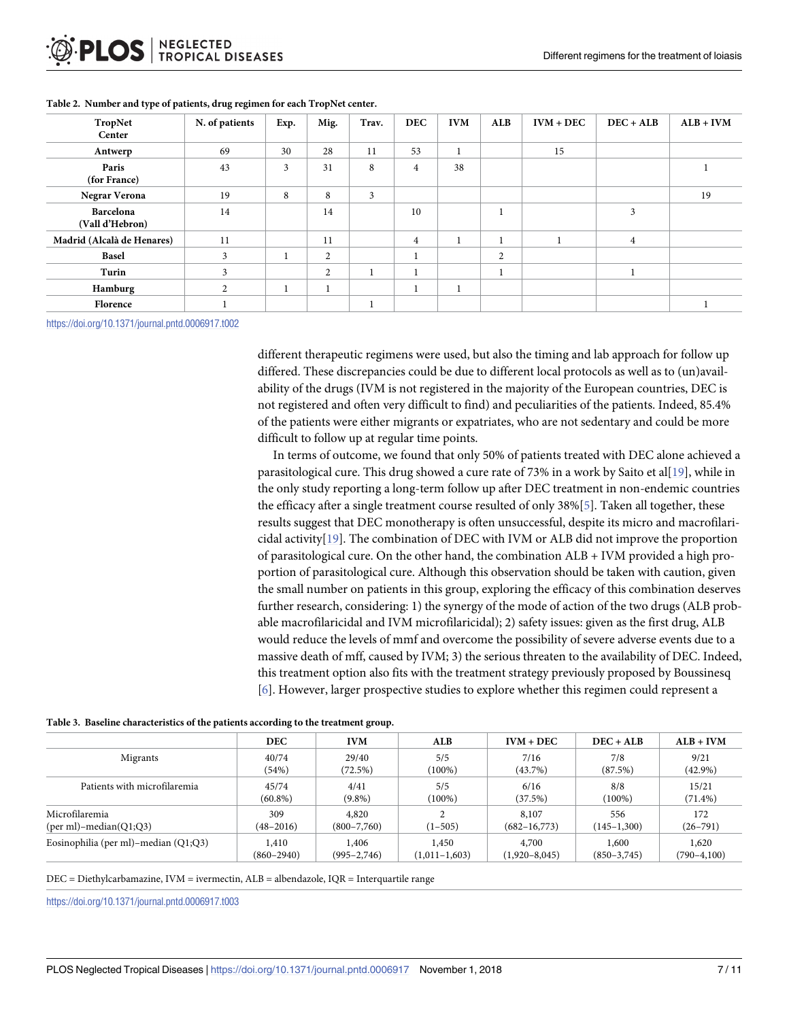| TropNet<br>Center            | N. of patients | Exp. | Mig.         | Trav. | <b>DEC</b>                                                                          | <b>IVM</b>   | <b>ALB</b>     | $IVM + DEC$ | $DEC + ALB$    | $ALB + IVM$ |
|------------------------------|----------------|------|--------------|-------|-------------------------------------------------------------------------------------|--------------|----------------|-------------|----------------|-------------|
| Antwerp                      | 69             | 30   | 28           | 11    | 53                                                                                  | $\mathbf{I}$ |                | 15          |                |             |
| Paris<br>(for France)        | 43             | 3    | 31           | 8     | $\overline{4}$                                                                      | 38           |                |             |                |             |
| <b>Negrar Verona</b>         | 19             | 8    | 8            | 3     |                                                                                     |              |                |             |                | 19          |
| Barcelona<br>(Vall d'Hebron) | 14             |      | 14           |       | 10                                                                                  |              |                |             | 3              |             |
| Madrid (Alcalà de Henares)   | 11             |      | 11           |       | $\overline{4}$                                                                      | $\mathbf{I}$ |                |             | $\overline{4}$ |             |
| <b>Basel</b>                 | 3              | 1    | 2            |       | $\mathbf{\mathbf{\mathbf{\mathbf{\mathbf{\mathbf{\mathbf{\mathbf{\mathbf{1}}}}}}}}$ |              | $\overline{2}$ |             |                |             |
| Turin                        | 3              |      | 2            |       |                                                                                     |              |                |             |                |             |
| Hamburg                      | $\overline{2}$ | -1   | $\mathbf{1}$ |       | -1                                                                                  | $\mathbf{I}$ |                |             |                |             |
| Florence                     |                |      |              |       |                                                                                     |              |                |             |                |             |

#### <span id="page-6-0"></span>**[Table](#page-3-0) 2. Number and type of patients, drug regimen for each TropNet center.**

<https://doi.org/10.1371/journal.pntd.0006917.t002>

different therapeutic regimens were used, but also the timing and lab approach for follow up differed. These discrepancies could be due to different local protocols as well as to (un)availability of the drugs (IVM is not registered in the majority of the European countries, DEC is not registered and often very difficult to find) and peculiarities of the patients. Indeed, 85.4% of the patients were either migrants or expatriates, who are not sedentary and could be more difficult to follow up at regular time points.

In terms of outcome, we found that only 50% of patients treated with DEC alone achieved a parasitological cure. This drug showed a cure rate of 73% in a work by Saito et al[[19](#page-10-0)], while in the only study reporting a long-term follow up after DEC treatment in non-endemic countries the efficacy after a single treatment course resulted of only 38%[\[5\]](#page-9-0). Taken all together, these results suggest that DEC monotherapy is often unsuccessful, despite its micro and macrofilaricidal activity[[19\]](#page-10-0). The combination of DEC with IVM or ALB did not improve the proportion of parasitological cure. On the other hand, the combination ALB + IVM provided a high proportion of parasitological cure. Although this observation should be taken with caution, given the small number on patients in this group, exploring the efficacy of this combination deserves further research, considering: 1) the synergy of the mode of action of the two drugs (ALB probable macrofilaricidal and IVM microfilaricidal); 2) safety issues: given as the first drug, ALB would reduce the levels of mmf and overcome the possibility of severe adverse events due to a massive death of mff, caused by IVM; 3) the serious threaten to the availability of DEC. Indeed, this treatment option also fits with the treatment strategy previously proposed by Boussinesq [\[6](#page-9-0)]. However, larger prospective studies to explore whether this regimen could represent a

|  | Table 3. Baseline characteristics of the patients according to the treatment group. |  |  |  |  |
|--|-------------------------------------------------------------------------------------|--|--|--|--|
|--|-------------------------------------------------------------------------------------|--|--|--|--|

|                                        | <b>DEC</b>     | <b>IVM</b>      | ALB             | $IVM + DEC$      | $DEC + ALB$     | $ALB + IVM$   |
|----------------------------------------|----------------|-----------------|-----------------|------------------|-----------------|---------------|
| Migrants                               | 40/74          | 29/40           | 5/5             | 7/16             | 7/8             | 9/21          |
|                                        | (54%)          | (72.5%)         | $(100\%)$       | $(43.7\%)$       | (87.5%)         | $(42.9\%)$    |
| Patients with microfilaremia           | 45/74          | 4/41            | 5/5             | 6/16             | 8/8             | 15/21         |
|                                        | $(60.8\%)$     | $(9.8\%)$       | $(100\%)$       | (37.5%)          | $(100\%)$       | $(71.4\%)$    |
| Microfilaremia                         | 309            | 4,820           | $(1 - 505)$     | 8,107            | 556             | 172           |
| $per$ ml)-median(Q1;Q3)                | $(48 - 2016)$  | $(800 - 7,760)$ |                 | $(682 - 16,773)$ | $(145-1,300)$   | $(26 - 791)$  |
| Eosinophilia (per ml)-median $(Q1;Q3)$ | 1,410          | 1,406           | 1,450           | 4,700            | 1,600           | 1,620         |
|                                        | $(860 - 2940)$ | $(995 - 2,746)$ | $(1,011-1,603)$ | $(1,920-8,045)$  | $(850 - 3,745)$ | $(790-4,100)$ |

DEC = Diethylcarbamazine, IVM = ivermectin, ALB = albendazole, IQR = Interquartile range

<https://doi.org/10.1371/journal.pntd.0006917.t003>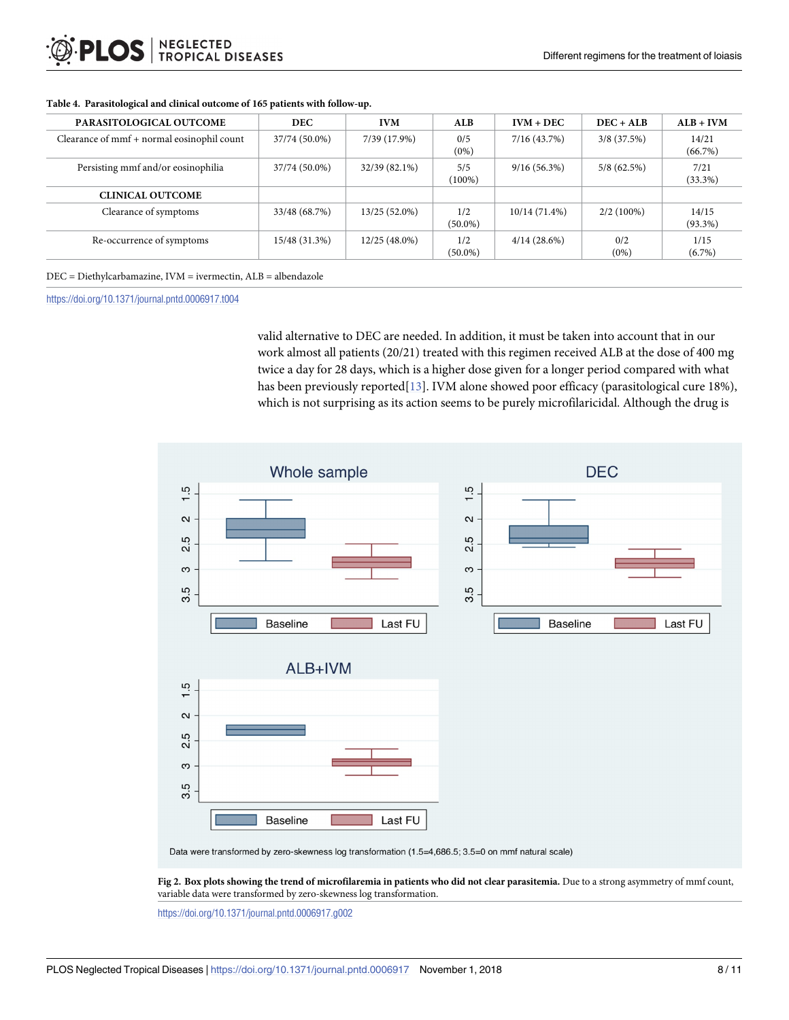| PARASITOLOGICAL OUTCOME                    | <b>DEC</b>    | <b>IVM</b>      | ALB               | $IVM + DEC$   | $DEC + ALB$    | $ALB + IVM$         |
|--------------------------------------------|---------------|-----------------|-------------------|---------------|----------------|---------------------|
| Clearance of mmf + normal eosinophil count | 37/74 (50.0%) | 7/39 (17.9%)    | 0/5<br>$(0\%)$    | 7/16(43.7%)   | $3/8$ (37.5%)  | 14/21<br>(66.7%)    |
| Persisting mmf and/or eosinophilia         | 37/74 (50.0%) | 32/39 (82.1%)   | 5/5<br>$(100\%)$  | 9/16(56.3%)   | 5/8(62.5%)     | 7/21<br>$(33.3\%)$  |
| CLINICAL OUTCOME                           |               |                 |                   |               |                |                     |
| Clearance of symptoms                      | 33/48 (68.7%) | $13/25(52.0\%)$ | 1/2<br>$(50.0\%)$ | 10/14 (71.4%) | $2/2(100\%)$   | 14/15<br>$(93.3\%)$ |
| Re-occurrence of symptoms                  | 15/48 (31.3%) | $12/25(48.0\%)$ | 1/2<br>$(50.0\%)$ | 4/14(28.6%)   | 0/2<br>$(0\%)$ | 1/15<br>$(6.7\%)$   |

#### <span id="page-7-0"></span>**[Table](#page-3-0) 4. Parasitological and clinical outcome of 165 patients with follow-up.**

DEC = Diethylcarbamazine, IVM = ivermectin, ALB = albendazole

<https://doi.org/10.1371/journal.pntd.0006917.t004>

valid alternative to DEC are needed. In addition, it must be taken into account that in our work almost all patients (20/21) treated with this regimen received ALB at the dose of 400 mg twice a day for 28 days, which is a higher dose given for a longer period compared with what has been previously reported[[13](#page-9-0)]. IVM alone showed poor efficacy (parasitological cure 18%), which is not surprising as its action seems to be purely microfilaricidal. Although the drug is



Data were transformed by zero-skewness log transformation (1.5=4,686.5; 3.5=0 on mmf natural scale)

[Fig](#page-4-0) 2. Box plots showing the trend of microfilaremia in patients who did not clear parasitemia. Due to a strong asymmetry of mmf count, variable data were transformed by zero-skewness log transformation.

<https://doi.org/10.1371/journal.pntd.0006917.g002>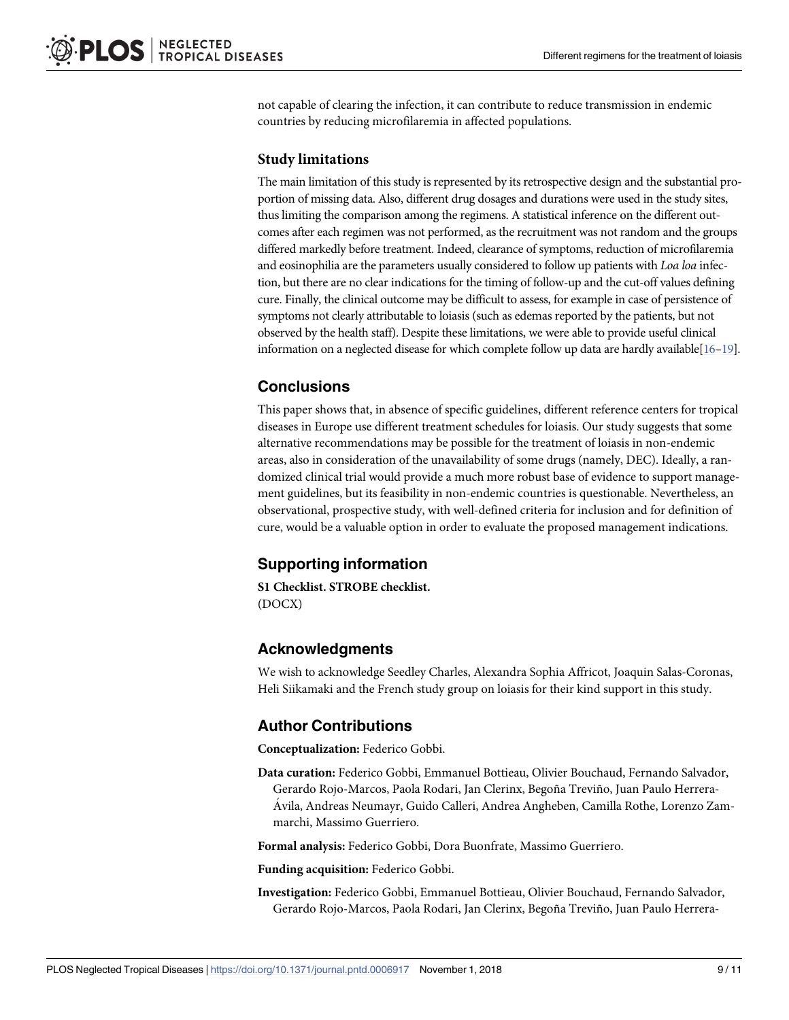not capable of clearing the infection, it can contribute to reduce transmission in endemic countries by reducing microfilaremia in affected populations.

#### **Study limitations**

The main limitation of this study is represented by its retrospective design and the substantial proportion of missing data. Also, different drug dosages and durations were used in the study sites, thus limiting the comparison among the regimens. A statistical inference on the different outcomes after each regimen was not performed, as the recruitment was not random and the groups differed markedly before treatment. Indeed, clearance of symptoms, reduction of microfilaremia and eosinophilia are the parameters usually considered to follow up patients with *Loa loa* infection, but there are no clear indications for the timing of follow-up and the cut-off values defining cure. Finally, the clinical outcome may be difficult to assess, for example in case of persistence of symptoms not clearly attributable to loiasis (such as edemas reported by the patients, but not observed by the health staff). Despite these limitations, we were able to provide useful clinical information on a neglected disease for which complete follow up data are hardly available[\[16](#page-9-0)[–19](#page-10-0)].

### **Conclusions**

This paper shows that, in absence of specific guidelines, different reference centers for tropical diseases in Europe use different treatment schedules for loiasis. Our study suggests that some alternative recommendations may be possible for the treatment of loiasis in non-endemic areas, also in consideration of the unavailability of some drugs (namely, DEC). Ideally, a randomized clinical trial would provide a much more robust base of evidence to support management guidelines, but its feasibility in non-endemic countries is questionable. Nevertheless, an observational, prospective study, with well-defined criteria for inclusion and for definition of cure, would be a valuable option in order to evaluate the proposed management indications.

#### **Supporting information**

**S1 [Checklist.](http://journals.plos.org/plosntds/article/asset?unique&id=info:doi/10.1371/journal.pntd.0006917.s001) STROBE checklist.** (DOCX)

#### **Acknowledgments**

We wish to acknowledge Seedley Charles, Alexandra Sophia Affricot, Joaquin Salas-Coronas, Heli Siikamaki and the French study group on loiasis for their kind support in this study.

#### **Author Contributions**

**Conceptualization:** Federico Gobbi.

**Data curation:** Federico Gobbi, Emmanuel Bottieau, Olivier Bouchaud, Fernando Salvador, Gerardo Rojo-Marcos, Paola Rodari, Jan Clerinx, Begoña Treviño, Juan Paulo Herrera-A´ vila, Andreas Neumayr, Guido Calleri, Andrea Angheben, Camilla Rothe, Lorenzo Zammarchi, Massimo Guerriero.

**Formal analysis:** Federico Gobbi, Dora Buonfrate, Massimo Guerriero.

**Funding acquisition:** Federico Gobbi.

**Investigation:** Federico Gobbi, Emmanuel Bottieau, Olivier Bouchaud, Fernando Salvador, Gerardo Rojo-Marcos, Paola Rodari, Jan Clerinx, Begoña Treviño, Juan Paulo Herrera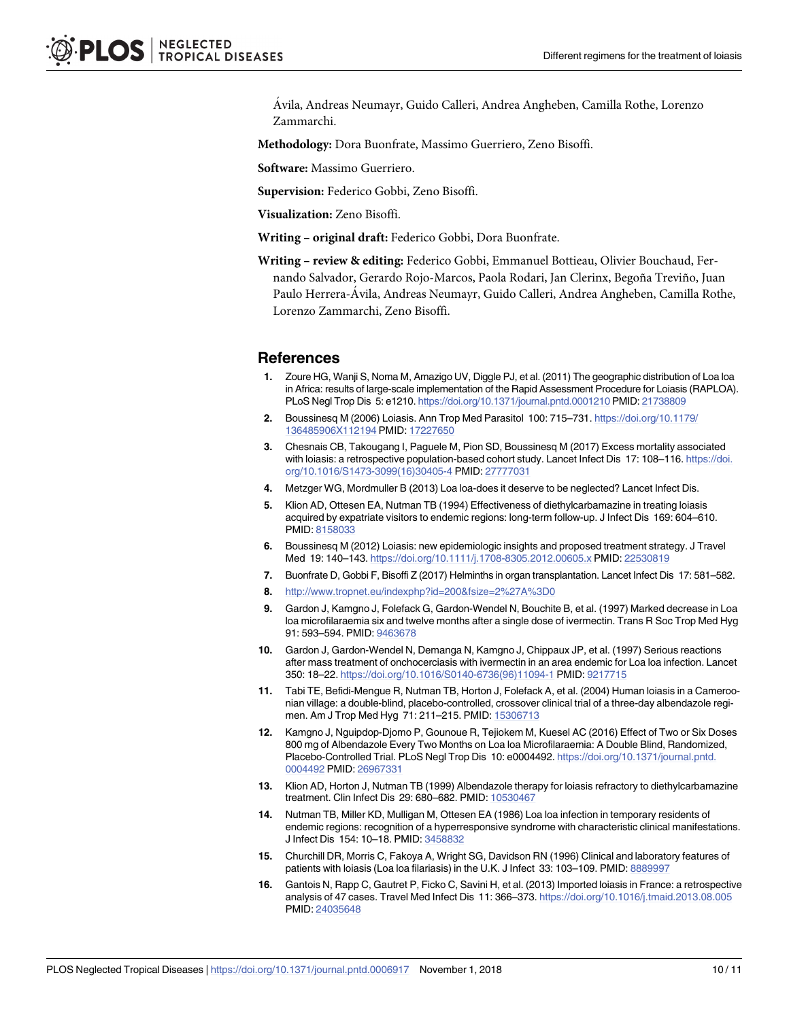<span id="page-9-0"></span>A´ vila, Andreas Neumayr, Guido Calleri, Andrea Angheben, Camilla Rothe, Lorenzo Zammarchi.

**Methodology:** Dora Buonfrate, Massimo Guerriero, Zeno Bisoffi.

**Software:** Massimo Guerriero.

**Supervision:** Federico Gobbi, Zeno Bisoffi.

**Visualization:** Zeno Bisoffi.

**Writing – original draft:** Federico Gobbi, Dora Buonfrate.

**Writing – review & editing:** Federico Gobbi, Emmanuel Bottieau, Olivier Bouchaud, Fernando Salvador, Gerardo Rojo-Marcos, Paola Rodari, Jan Clerinx, Begoña Treviño, Juan Paulo Herrera-Avila, Andreas Neumayr, Guido Calleri, Andrea Angheben, Camilla Rothe, Lorenzo Zammarchi, Zeno Bisoffi.

#### **References**

- **[1](#page-1-0).** Zoure HG, Wanji S, Noma M, Amazigo UV, Diggle PJ, et al. (2011) The geographic distribution of Loa loa in Africa: results of large-scale implementation of the Rapid Assessment Procedure for Loiasis (RAPLOA). PLoS Negl Trop Dis 5: e1210. <https://doi.org/10.1371/journal.pntd.0001210> PMID: [21738809](http://www.ncbi.nlm.nih.gov/pubmed/21738809)
- **[2](#page-1-0).** Boussinesq M (2006) Loiasis. Ann Trop Med Parasitol 100: 715–731. [https://doi.org/10.1179/](https://doi.org/10.1179/136485906X112194) [136485906X112194](https://doi.org/10.1179/136485906X112194) PMID: [17227650](http://www.ncbi.nlm.nih.gov/pubmed/17227650)
- **[3](#page-1-0).** Chesnais CB, Takougang I, Paguele M, Pion SD, Boussinesq M (2017) Excess mortality associated with loiasis: a retrospective population-based cohort study. Lancet Infect Dis 17: 108–116. [https://doi.](https://doi.org/10.1016/S1473-3099(16)30405-4) [org/10.1016/S1473-3099\(16\)30405-4](https://doi.org/10.1016/S1473-3099(16)30405-4) PMID: [27777031](http://www.ncbi.nlm.nih.gov/pubmed/27777031)
- **[4](#page-1-0).** Metzger WG, Mordmuller B (2013) Loa loa-does it deserve to be neglected? Lancet Infect Dis.
- **[5](#page-1-0).** Klion AD, Ottesen EA, Nutman TB (1994) Effectiveness of diethylcarbamazine in treating loiasis acquired by expatriate visitors to endemic regions: long-term follow-up. J Infect Dis 169: 604–610. PMID: [8158033](http://www.ncbi.nlm.nih.gov/pubmed/8158033)
- **[6](#page-1-0).** Boussinesq M (2012) Loiasis: new epidemiologic insights and proposed treatment strategy. J Travel Med 19: 140–143. <https://doi.org/10.1111/j.1708-8305.2012.00605.x> PMID: [22530819](http://www.ncbi.nlm.nih.gov/pubmed/22530819)
- **[7](#page-1-0).** Buonfrate D, Gobbi F, Bisoffi Z (2017) Helminths in organ transplantation. Lancet Infect Dis 17: 581–582.
- **[8](#page-1-0).** <http://www.tropnet.eu/indexphp?id=200&fsize=2%27A%3D0>
- **[9](#page-1-0).** Gardon J, Kamgno J, Folefack G, Gardon-Wendel N, Bouchite B, et al. (1997) Marked decrease in Loa loa microfilaraemia six and twelve months after a single dose of ivermectin. Trans R Soc Trop Med Hyg 91: 593–594. PMID: [9463678](http://www.ncbi.nlm.nih.gov/pubmed/9463678)
- **[10](#page-1-0).** Gardon J, Gardon-Wendel N, Demanga N, Kamgno J, Chippaux JP, et al. (1997) Serious reactions after mass treatment of onchocerciasis with ivermectin in an area endemic for Loa loa infection. Lancet 350: 18–22. [https://doi.org/10.1016/S0140-6736\(96\)11094-1](https://doi.org/10.1016/S0140-6736(96)11094-1) PMID: [9217715](http://www.ncbi.nlm.nih.gov/pubmed/9217715)
- **[11](#page-1-0).** Tabi TE, Befidi-Mengue R, Nutman TB, Horton J, Folefack A, et al. (2004) Human loiasis in a Cameroonian village: a double-blind, placebo-controlled, crossover clinical trial of a three-day albendazole regimen. Am J Trop Med Hyg 71: 211–215. PMID: [15306713](http://www.ncbi.nlm.nih.gov/pubmed/15306713)
- **[12](#page-1-0).** Kamgno J, Nguipdop-Djomo P, Gounoue R, Tejiokem M, Kuesel AC (2016) Effect of Two or Six Doses 800 mg of Albendazole Every Two Months on Loa loa Microfilaraemia: A Double Blind, Randomized, Placebo-Controlled Trial. PLoS Negl Trop Dis 10: e0004492. [https://doi.org/10.1371/journal.pntd.](https://doi.org/10.1371/journal.pntd.0004492) [0004492](https://doi.org/10.1371/journal.pntd.0004492) PMID: [26967331](http://www.ncbi.nlm.nih.gov/pubmed/26967331)
- **[13](#page-1-0).** Klion AD, Horton J, Nutman TB (1999) Albendazole therapy for loiasis refractory to diethylcarbamazine treatment. Clin Infect Dis 29: 680–682. PMID: [10530467](http://www.ncbi.nlm.nih.gov/pubmed/10530467)
- **[14](#page-1-0).** Nutman TB, Miller KD, Mulligan M, Ottesen EA (1986) Loa loa infection in temporary residents of endemic regions: recognition of a hyperresponsive syndrome with characteristic clinical manifestations. J Infect Dis 154: 10–18. PMID: [3458832](http://www.ncbi.nlm.nih.gov/pubmed/3458832)
- **[15](#page-1-0).** Churchill DR, Morris C, Fakoya A, Wright SG, Davidson RN (1996) Clinical and laboratory features of patients with loiasis (Loa loa filariasis) in the U.K. J Infect 33: 103–109. PMID: [8889997](http://www.ncbi.nlm.nih.gov/pubmed/8889997)
- **[16](#page-2-0).** Gantois N, Rapp C, Gautret P, Ficko C, Savini H, et al. (2013) Imported loiasis in France: a retrospective analysis of 47 cases. Travel Med Infect Dis 11: 366–373. <https://doi.org/10.1016/j.tmaid.2013.08.005> PMID: [24035648](http://www.ncbi.nlm.nih.gov/pubmed/24035648)